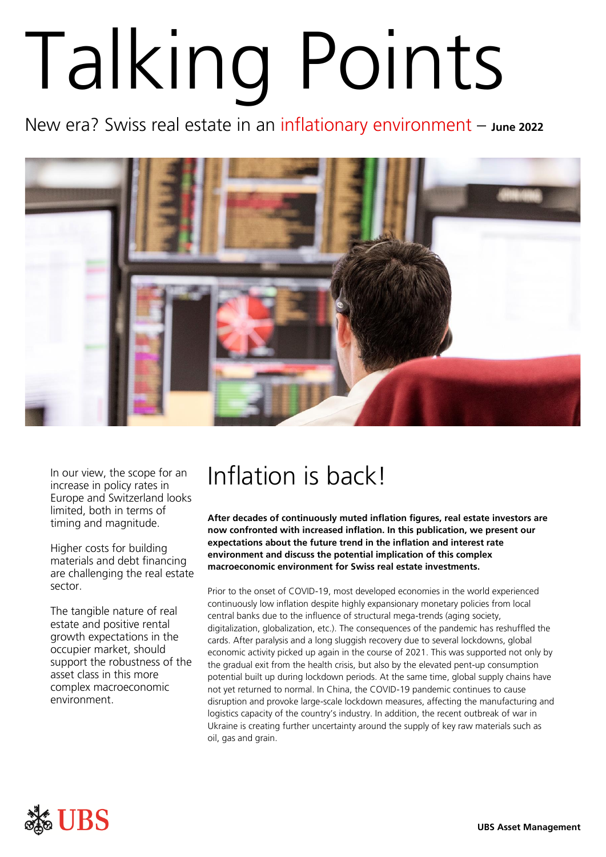# Talking Points

New era? Swiss real estate in an inflationary environment – **June 2022**



increase in policy rates in Europe and Switzerland looks limited, both in terms of timing and magnitude.

Higher costs for building materials and debt financing are challenging the real estate sector.

The tangible nature of real estate and positive rental growth expectations in the occupier market, should support the robustness of the asset class in this more complex macroeconomic environment.

## In our view, the scope for an  $\Box$  Inflation is back!

**After decades of continuously muted inflation figures, real estate investors are now confronted with increased inflation. In this publication, we present our expectations about the future trend in the inflation and interest rate environment and discuss the potential implication of this complex macroeconomic environment for Swiss real estate investments.** 

Prior to the onset of COVID-19, most developed economies in the world experienced continuously low inflation despite highly expansionary monetary policies from local central banks due to the influence of structural mega-trends (aging society, digitalization, globalization, etc.). The consequences of the pandemic has reshuffled the cards. After paralysis and a long sluggish recovery due to several lockdowns, global economic activity picked up again in the course of 2021. This was supported not only by the gradual exit from the health crisis, but also by the elevated pent-up consumption potential built up during lockdown periods. At the same time, global supply chains have not yet returned to normal. In China, the COVID-19 pandemic continues to cause disruption and provoke large-scale lockdown measures, affecting the manufacturing and logistics capacity of the country's industry. In addition, the recent outbreak of war in Ukraine is creating further uncertainty around the supply of key raw materials such as oil, gas and grain.

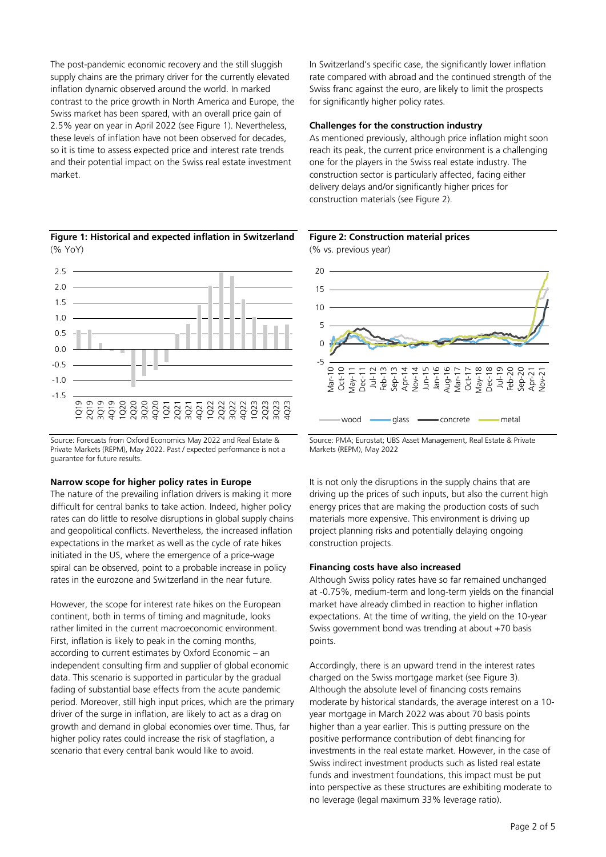The post-pandemic economic recovery and the still sluggish supply chains are the primary driver for the currently elevated inflation dynamic observed around the world. In marked contrast to the price growth in North America and Europe, the Swiss market has been spared, with an overall price gain of 2.5% year on year in April 2022 (see Figure 1). Nevertheless, these levels of inflation have not been observed for decades, so it is time to assess expected price and interest rate trends and their potential impact on the Swiss real estate investment market.



Source: Forecasts from Oxford Economics May 2022 and Real Estate & Private Markets (REPM), May 2022. Past / expected performance is not a guarantee for future results.

#### **Narrow scope for higher policy rates in Europe**

The nature of the prevailing inflation drivers is making it more difficult for central banks to take action. Indeed, higher policy rates can do little to resolve disruptions in global supply chains and geopolitical conflicts. Nevertheless, the increased inflation expectations in the market as well as the cycle of rate hikes initiated in the US, where the emergence of a price-wage spiral can be observed, point to a probable increase in policy rates in the eurozone and Switzerland in the near future.

However, the scope for interest rate hikes on the European continent, both in terms of timing and magnitude, looks rather limited in the current macroeconomic environment. First, inflation is likely to peak in the coming months, according to current estimates by Oxford Economic – an independent consulting firm and supplier of global economic data. This scenario is supported in particular by the gradual fading of substantial base effects from the acute pandemic period. Moreover, still high input prices, which are the primary driver of the surge in inflation, are likely to act as a drag on growth and demand in global economies over time. Thus, far higher policy rates could increase the risk of stagflation, a scenario that every central bank would like to avoid.

In Switzerland's specific case, the significantly lower inflation rate compared with abroad and the continued strength of the Swiss franc against the euro, are likely to limit the prospects for significantly higher policy rates.

#### **Challenges for the construction industry**

As mentioned previously, although price inflation might soon reach its peak, the current price environment is a challenging one for the players in the Swiss real estate industry. The construction sector is particularly affected, facing either delivery delays and/or significantly higher prices for construction materials (see Figure 2).



**Figure 2: Construction material prices**

Source: PMA; Eurostat; UBS Asset Management, Real Estate & Private Markets (REPM), May 2022

wood **gives** glass **concrete** metal

It is not only the disruptions in the supply chains that are driving up the prices of such inputs, but also the current high energy prices that are making the production costs of such materials more expensive. This environment is driving up project planning risks and potentially delaying ongoing construction projects.

#### **Financing costs have also increased**

Although Swiss policy rates have so far remained unchanged at -0.75%, medium-term and long-term yields on the financial market have already climbed in reaction to higher inflation expectations. At the time of writing, the yield on the 10-year Swiss government bond was trending at about +70 basis points.

Accordingly, there is an upward trend in the interest rates charged on the Swiss mortgage market (see Figure 3). Although the absolute level of financing costs remains moderate by historical standards, the average interest on a 10 year mortgage in March 2022 was about 70 basis points higher than a year earlier. This is putting pressure on the positive performance contribution of debt financing for investments in the real estate market. However, in the case of Swiss indirect investment products such as listed real estate funds and investment foundations, this impact must be put into perspective as these structures are exhibiting moderate to no leverage (legal maximum 33% leverage ratio).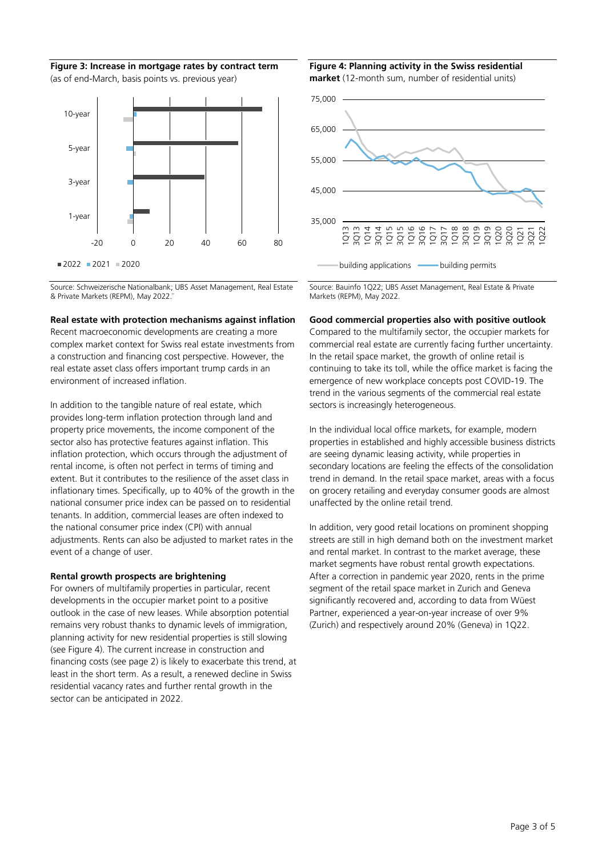**Figure 3: Increase in mortgage rates by contract term**  (as of end-March, basis points vs. previous year)



Source: Schweizerische Nationalbank; UBS Asset Management, Real Estate & Private Markets (REPM), May 2022.

#### **Real estate with protection mechanisms against inflation**

Recent macroeconomic developments are creating a more complex market context for Swiss real estate investments from a construction and financing cost perspective. However, the real estate asset class offers important trump cards in an environment of increased inflation.

In addition to the tangible nature of real estate, which provides long-term inflation protection through land and property price movements, the income component of the sector also has protective features against inflation. This inflation protection, which occurs through the adjustment of rental income, is often not perfect in terms of timing and extent. But it contributes to the resilience of the asset class in inflationary times. Specifically, up to 40% of the growth in the national consumer price index can be passed on to residential tenants. In addition, commercial leases are often indexed to the national consumer price index (CPI) with annual adjustments. Rents can also be adjusted to market rates in the event of a change of user.

#### **Rental growth prospects are brightening**

For owners of multifamily properties in particular, recent developments in the occupier market point to a positive outlook in the case of new leases. While absorption potential remains very robust thanks to dynamic levels of immigration, planning activity for new residential properties is still slowing (see Figure 4). The current increase in construction and financing costs (see page 2) is likely to exacerbate this trend, at least in the short term. As a result, a renewed decline in Swiss residential vacancy rates and further rental growth in the sector can be anticipated in 2022.

### **Figure 4: Planning activity in the Swiss residential**





Source: Bauinfo 1Q22; UBS Asset Management, Real Estate & Private Markets (REPM), May 2022.

#### **Good commercial properties also with positive outlook**

Compared to the multifamily sector, the occupier markets for commercial real estate are currently facing further uncertainty. In the retail space market, the growth of online retail is continuing to take its toll, while the office market is facing the emergence of new workplace concepts post COVID-19. The trend in the various segments of the commercial real estate sectors is increasingly heterogeneous.

In the individual local office markets, for example, modern properties in established and highly accessible business districts are seeing dynamic leasing activity, while properties in secondary locations are feeling the effects of the consolidation trend in demand. In the retail space market, areas with a focus on grocery retailing and everyday consumer goods are almost unaffected by the online retail trend.

In addition, very good retail locations on prominent shopping streets are still in high demand both on the investment market and rental market. In contrast to the market average, these market segments have robust rental growth expectations. After a correction in pandemic year 2020, rents in the prime segment of the retail space market in Zurich and Geneva significantly recovered and, according to data from Wüest Partner, experienced a year-on-year increase of over 9% (Zurich) and respectively around 20% (Geneva) in 1Q22.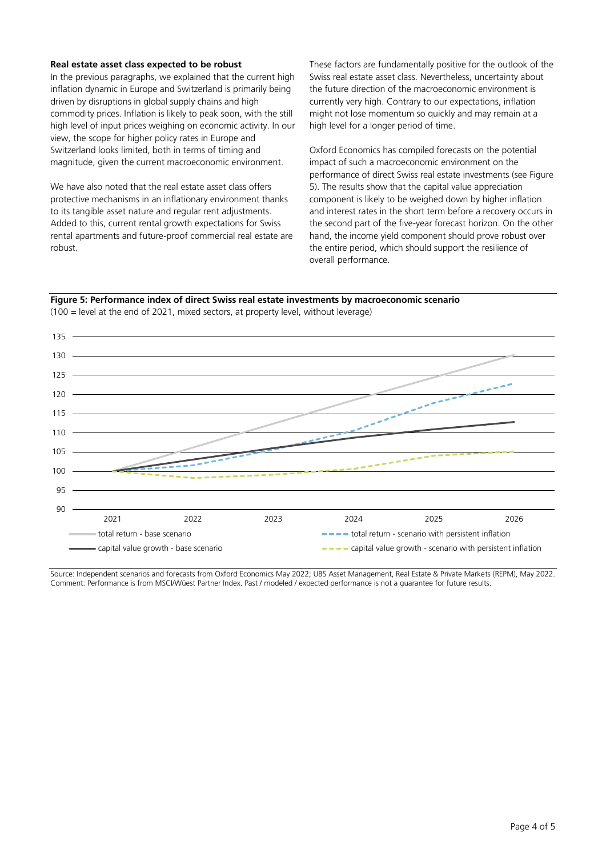#### **Real estate asset class expected to be robust**

In the previous paragraphs, we explained that the current high inflation dynamic in Europe and Switzerland is primarily being driven by disruptions in global supply chains and high commodity prices. Inflation is likely to peak soon, with the still high level of input prices weighing on economic activity. In our view, the scope for higher policy rates in Europe and Switzerland looks limited, both in terms of timing and magnitude, given the current macroeconomic environment.

We have also noted that the real estate asset class offers protective mechanisms in an inflationary environment thanks to its tangible asset nature and regular rent adjustments. Added to this, current rental growth expectations for Swiss rental apartments and future-proof commercial real estate are robust.

These factors are fundamentally positive for the outlook of the Swiss real estate asset class. Nevertheless, uncertainty about the future direction of the macroeconomic environment is currently very high. Contrary to our expectations, inflation might not lose momentum so quickly and may remain at a high level for a longer period of time.

Oxford Economics has compiled forecasts on the potential impact of such a macroeconomic environment on the performance of direct Swiss real estate investments (see Figure 5). The results show that the capital value appreciation component is likely to be weighed down by higher inflation and interest rates in the short term before a recovery occurs in the second part of the five-year forecast horizon. On the other hand, the income yield component should prove robust over the entire period, which should support the resilience of overall performance.

#### **Figure 5: Performance index of direct Swiss real estate investments by macroeconomic scenario**



(100 = level at the end of 2021, mixed sectors, at property level, without leverage)

Source: Independent scenarios and forecasts from Oxford Economics May 2022; UBS Asset Management, Real Estate & Private Markets (REPM), May 2022. Comment: Performance is from MSCI/Wüest Partner Index. Past / modeled / expected performance is not a guarantee for future results.